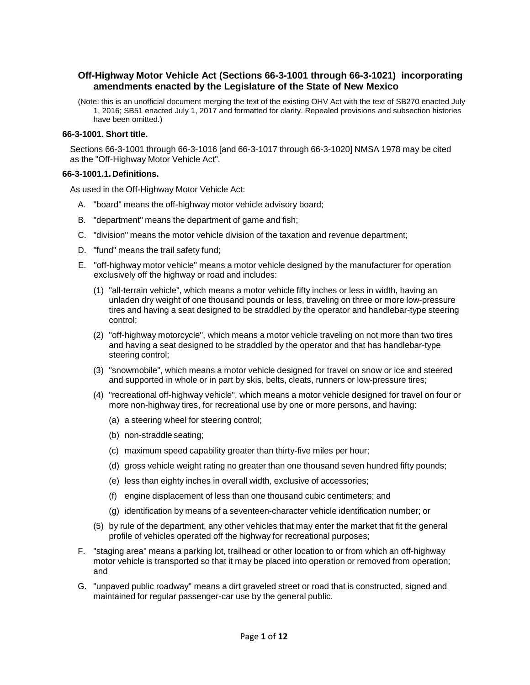# **Off-Highway Motor Vehicle Act (Sections 66-3-1001 through 66-3-1021) incorporating amendments enacted by the Legislature of the State of New Mexico**

(Note: this is an unofficial document merging the text of the existing OHV Act with the text of SB270 enacted July 1, 2016; SB51 enacted July 1, 2017 and formatted for clarity. Repealed provisions and subsection histories have been omitted.)

## **66-3-1001. Short title.**

Sections 66-3-1001 through 66-3-1016 [and 66-3-1017 through 66-3-1020] NMSA 1978 may be cited as the "Off-Highway Motor Vehicle Act".

#### **66-3-1001.1. Definitions.**

As used in the Off-Highway Motor Vehicle Act:

- A. "board" means the off-highway motor vehicle advisory board;
- B. "department" means the department of game and fish;
- C. "division" means the motor vehicle division of the taxation and revenue department;
- D. "fund" means the trail safety fund;
- E. "off-highway motor vehicle" means a motor vehicle designed by the manufacturer for operation exclusively off the highway or road and includes:
	- (1) "all-terrain vehicle", which means a motor vehicle fifty inches or less in width, having an unladen dry weight of one thousand pounds or less, traveling on three or more low-pressure tires and having a seat designed to be straddled by the operator and handlebar-type steering control;
	- (2) "off-highway motorcycle", which means a motor vehicle traveling on not more than two tires and having a seat designed to be straddled by the operator and that has handlebar-type steering control;
	- (3) "snowmobile", which means a motor vehicle designed for travel on snow or ice and steered and supported in whole or in part by skis, belts, cleats, runners or low-pressure tires;
	- (4) "recreational off-highway vehicle", which means a motor vehicle designed for travel on four or more non-highway tires, for recreational use by one or more persons, and having:
		- (a) a steering wheel for steering control;
		- (b) non-straddle seating;
		- (c) maximum speed capability greater than thirty-five miles per hour;
		- (d) gross vehicle weight rating no greater than one thousand seven hundred fifty pounds;
		- (e) less than eighty inches in overall width, exclusive of accessories;
		- (f) engine displacement of less than one thousand cubic centimeters; and
		- (g) identification by means of a seventeen-character vehicle identification number; or
	- (5) by rule of the department, any other vehicles that may enter the market that fit the general profile of vehicles operated off the highway for recreational purposes;
- F. "staging area" means a parking lot, trailhead or other location to or from which an off-highway motor vehicle is transported so that it may be placed into operation or removed from operation; and
- G. "unpaved public roadway" means a dirt graveled street or road that is constructed, signed and maintained for regular passenger-car use by the general public.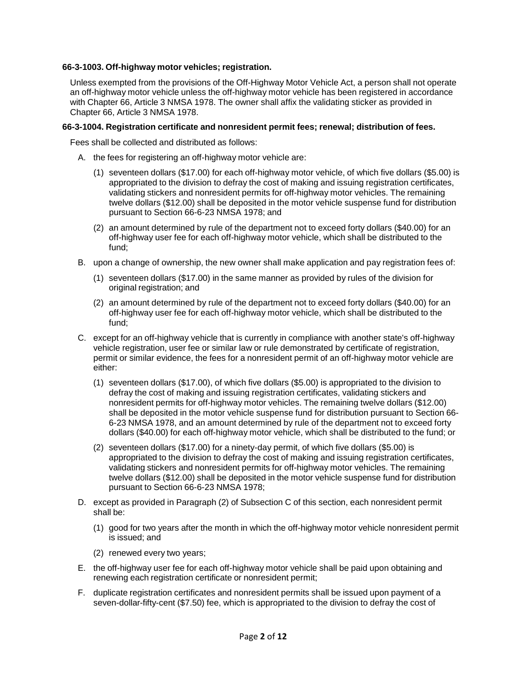### **66-3-1003. Off-highway motor vehicles; registration.**

Unless exempted from the provisions of the Off-Highway Motor Vehicle Act, a person shall not operate an off-highway motor vehicle unless the off-highway motor vehicle has been registered in accordance with Chapter [66,](http://public.nmcompcomm.us/NMPublic/gateway.dll?f=jumplink%24jumplink_x%3DAdvanced%24jumplink_vpc%3Dfirst%24jumplink_xsl%3Dquerylink.xsl%24jumplink_sel%3Dtitle%3Bpath%3Bcontent-type%3Bhome-title%3Bitem-bookmark%24jumplink_d%3D%7bnmsu%7d%24jumplink_q%3D%5bfield%20folio-destination-name%3A%27ch.%2066%27%5d%24jumplink_md%3Dtarget-id%3D0-0-0-1837) Article [3](http://public.nmcompcomm.us/NMPublic/gateway.dll?f=jumplink%24jumplink_x%3DAdvanced%24jumplink_vpc%3Dfirst%24jumplink_xsl%3Dquerylink.xsl%24jumplink_sel%3Dtitle%3Bpath%3Bcontent-type%3Bhome-title%3Bitem-bookmark%24jumplink_d%3D%7bnmsu%7d%24jumplink_q%3D%5bfield%20folio-destination-name%3A%27Ch.%2066%2C%20Art.%203%27%5d%24jumplink_md%3Dtarget-id%3D0-0-0-105787) NMSA 1978. The owner shall affix the validating sticker as provided in Chapter [66,](http://public.nmcompcomm.us/NMPublic/gateway.dll?f=jumplink%24jumplink_x%3DAdvanced%24jumplink_vpc%3Dfirst%24jumplink_xsl%3Dquerylink.xsl%24jumplink_sel%3Dtitle%3Bpath%3Bcontent-type%3Bhome-title%3Bitem-bookmark%24jumplink_d%3D%7bnmsu%7d%24jumplink_q%3D%5bfield%20folio-destination-name%3A%27ch.%2066%27%5d%24jumplink_md%3Dtarget-id%3D0-0-0-1837) Article [3](http://public.nmcompcomm.us/NMPublic/gateway.dll?f=jumplink%24jumplink_x%3DAdvanced%24jumplink_vpc%3Dfirst%24jumplink_xsl%3Dquerylink.xsl%24jumplink_sel%3Dtitle%3Bpath%3Bcontent-type%3Bhome-title%3Bitem-bookmark%24jumplink_d%3D%7bnmsu%7d%24jumplink_q%3D%5bfield%20folio-destination-name%3A%27Ch.%2066%2C%20Art.%203%27%5d%24jumplink_md%3Dtarget-id%3D0-0-0-105787) NMSA 1978.

#### **66-3-1004. Registration certificate and nonresident permit fees; renewal; distribution of fees.**

Fees shall be collected and distributed as follows:

- A. the fees for registering an off-highway motor vehicle are:
	- (1) seventeen dollars (\$17.00) for each off-highway motor vehicle, of which five dollars (\$5.00) is appropriated to the division to defray the cost of making and issuing registration certificates, validating stickers and nonresident permits for off-highway motor vehicles. The remaining twelve dollars (\$12.00) shall be deposited in the motor vehicle suspense fund for distribution pursuant to Section [66-6-23](http://public.nmcompcomm.us/NMPublic/gateway.dll?f=jumplink%24jumplink_x%3DAdvanced%24jumplink_vpc%3Dfirst%24jumplink_xsl%3Dquerylink.xsl%24jumplink_sel%3Dtitle%3Bpath%3Bcontent-type%3Bhome-title%3Bitem-bookmark%24jumplink_d%3D%7bnmsu%7d%24jumplink_q%3D%5bfield%20folio-destination-name%3A%2766-6-23%27%5d%24jumplink_md%3Dtarget-id%3D0-0-0-17665) NMSA 1978; and
	- (2) an amount determined by rule of the department not to exceed forty dollars (\$40.00) for an off-highway user fee for each off-highway motor vehicle, which shall be distributed to the fund;
- B. upon a change of ownership, the new owner shall make application and pay registration fees of:
	- (1) seventeen dollars (\$17.00) in the same manner as provided by rules of the division for original registration; and
	- (2) an amount determined by rule of the department not to exceed forty dollars (\$40.00) for an off-highway user fee for each off-highway motor vehicle, which shall be distributed to the fund;
- C. except for an off-highway vehicle that is currently in compliance with another state's off-highway vehicle registration, user fee or similar law or rule demonstrated by certificate of registration, permit or similar evidence, the fees for a nonresident permit of an off-highway motor vehicle are either:
	- (1) seventeen dollars (\$17.00), of which five dollars (\$5.00) is appropriated to the division to defray the cost of making and issuing registration certificates, validating stickers and nonresident permits for off-highway motor vehicles. The remaining twelve dollars (\$12.00) shall be deposited in the motor vehicle suspense fund for distribution pursuant to Section [66-](http://public.nmcompcomm.us/NMPublic/gateway.dll?f=jumplink%24jumplink_x%3DAdvanced%24jumplink_vpc%3Dfirst%24jumplink_xsl%3Dquerylink.xsl%24jumplink_sel%3Dtitle%3Bpath%3Bcontent-type%3Bhome-title%3Bitem-bookmark%24jumplink_d%3D%7bnmsu%7d%24jumplink_q%3D%5bfield%20folio-destination-name%3A%2766-6-23%27%5d%24jumplink_md%3Dtarget-id%3D0-0-0-17665) [6-23](http://public.nmcompcomm.us/NMPublic/gateway.dll?f=jumplink%24jumplink_x%3DAdvanced%24jumplink_vpc%3Dfirst%24jumplink_xsl%3Dquerylink.xsl%24jumplink_sel%3Dtitle%3Bpath%3Bcontent-type%3Bhome-title%3Bitem-bookmark%24jumplink_d%3D%7bnmsu%7d%24jumplink_q%3D%5bfield%20folio-destination-name%3A%2766-6-23%27%5d%24jumplink_md%3Dtarget-id%3D0-0-0-17665) NMSA 1978, and an amount determined by rule of the department not to exceed forty dollars (\$40.00) for each off-highway motor vehicle, which shall be distributed to the fund; or
	- (2) seventeen dollars (\$17.00) for a ninety-day permit, of which five dollars (\$5.00) is appropriated to the division to defray the cost of making and issuing registration certificates, validating stickers and nonresident permits for off-highway motor vehicles. The remaining twelve dollars (\$12.00) shall be deposited in the motor vehicle suspense fund for distribution pursuant to Section [66-6-23](http://public.nmcompcomm.us/NMPublic/gateway.dll?f=jumplink%24jumplink_x%3DAdvanced%24jumplink_vpc%3Dfirst%24jumplink_xsl%3Dquerylink.xsl%24jumplink_sel%3Dtitle%3Bpath%3Bcontent-type%3Bhome-title%3Bitem-bookmark%24jumplink_d%3D%7bnmsu%7d%24jumplink_q%3D%5bfield%20folio-destination-name%3A%2766-6-23%27%5d%24jumplink_md%3Dtarget-id%3D0-0-0-17665) NMSA 1978;
- D. except as provided in Paragraph (2) of Subsection C of this section, each nonresident permit shall be:
	- (1) good for two years after the month in which the off-highway motor vehicle nonresident permit is issued; and
	- (2) renewed every two years;
- E. the off-highway user fee for each off-highway motor vehicle shall be paid upon obtaining and renewing each registration certificate or nonresident permit;
- F. duplicate registration certificates and nonresident permits shall be issued upon payment of a seven-dollar-fifty-cent (\$7.50) fee, which is appropriated to the division to defray the cost of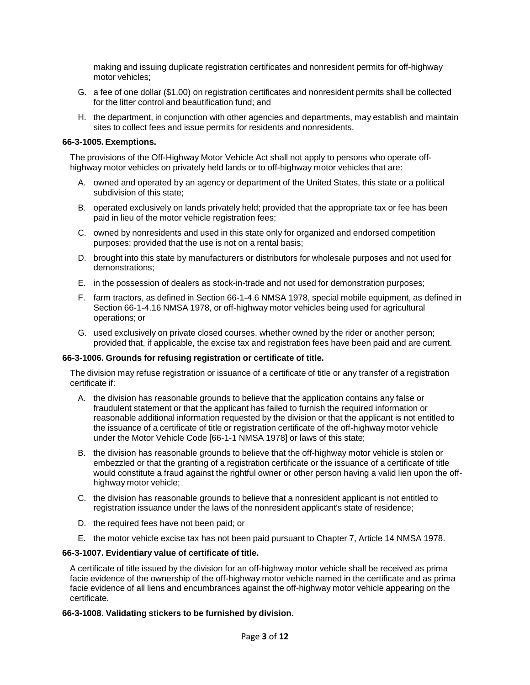making and issuing duplicate registration certificates and nonresident permits for off-highway motor vehicles;

- G. a fee of one dollar (\$1.00) on registration certificates and nonresident permits shall be collected for the litter control and beautification fund; and
- H. the department, in conjunction with other agencies and departments, may establish and maintain sites to collect fees and issue permits for residents and nonresidents.

#### **66-3-1005. Exemptions.**

The provisions of the Off-Highway Motor Vehicle Act shall not apply to persons who operate offhighway motor vehicles on privately held lands or to off-highway motor vehicles that are:

- A. owned and operated by an agency or department of the United States, this state or a political subdivision of this state;
- B. operated exclusively on lands privately held; provided that the appropriate tax or fee has been paid in lieu of the motor vehicle registration fees;
- C. owned by nonresidents and used in this state only for organized and endorsed competition purposes; provided that the use is not on a rental basis;
- D. brought into this state by manufacturers or distributors for wholesale purposes and not used for demonstrations;
- E. in the possession of dealers as stock-in-trade and not used for demonstration purposes;
- F. farm tractors, as defined in Section [66-1-4.6](http://public.nmcompcomm.us/NMPublic/gateway.dll?f=jumplink%24jumplink_x%3DAdvanced%24jumplink_vpc%3Dfirst%24jumplink_xsl%3Dquerylink.xsl%24jumplink_sel%3Dtitle%3Bpath%3Bcontent-type%3Bhome-title%3Bitem-bookmark%24jumplink_d%3D%7bnmsu%7d%24jumplink_q%3D%5bfield%20folio-destination-name%3A%2766-1-4.6%27%5d%24jumplink_md%3Dtarget-id%3D0-0-0-105827) NMSA 1978, special mobile equipment, as defined in Section [66-1-4.16](http://public.nmcompcomm.us/NMPublic/gateway.dll?f=jumplink%24jumplink_x%3DAdvanced%24jumplink_vpc%3Dfirst%24jumplink_xsl%3Dquerylink.xsl%24jumplink_sel%3Dtitle%3Bpath%3Bcontent-type%3Bhome-title%3Bitem-bookmark%24jumplink_d%3D%7bnmsu%7d%24jumplink_q%3D%5bfield%20folio-destination-name%3A%2766-1-4.16%27%5d%24jumplink_md%3Dtarget-id%3D0-0-0-105843) NMSA 1978, or off-highway motor vehicles being used for agricultural operations; or
- G. used exclusively on private closed courses, whether owned by the rider or another person; provided that, if applicable, the excise tax and registration fees have been paid and are current.

#### **66-3-1006. Grounds for refusing registration or certificate of title.**

The division may refuse registration or issuance of a certificate of title or any transfer of a registration certificate if:

- A. the division has reasonable grounds to believe that the application contains any false or fraudulent statement or that the applicant has failed to furnish the required information or reasonable additional information requested by the division or that the applicant is not entitled to the issuance of a certificate of title or registration certificate of the off-highway motor vehicle under the Motor Vehicle Code [\[66-1-1](http://public.nmcompcomm.us/NMPublic/gateway.dll?f=jumplink%24jumplink_x%3DAdvanced%24jumplink_vpc%3Dfirst%24jumplink_xsl%3Dquerylink.xsl%24jumplink_sel%3Dtitle%3Bpath%3Bcontent-type%3Bhome-title%3Bitem-bookmark%24jumplink_d%3D%7bnmsu%7d%24jumplink_q%3D%5bfield%20folio-destination-name%3A%2766-1-1%27%5d%24jumplink_md%3Dtarget-id%3D0-0-0-33503) NMSA 1978] or laws of this state;
- B. the division has reasonable grounds to believe that the off-highway motor vehicle is stolen or embezzled or that the granting of a registration certificate or the issuance of a certificate of title would constitute a fraud against the rightful owner or other person having a valid lien upon the offhighway motor vehicle;
- C. the division has reasonable grounds to believe that a nonresident applicant is not entitled to registration issuance under the laws of the nonresident applicant's state of residence;
- D. the required fees have not been paid; or
- E. the motor vehicle excise tax has not been paid pursuant to Chapter [7,](http://public.nmcompcomm.us/NMPublic/gateway.dll?f=jumplink%24jumplink_x%3DAdvanced%24jumplink_vpc%3Dfirst%24jumplink_xsl%3Dquerylink.xsl%24jumplink_sel%3Dtitle%3Bpath%3Bcontent-type%3Bhome-title%3Bitem-bookmark%24jumplink_d%3D%7bnmsu%7d%24jumplink_q%3D%5bfield%20folio-destination-name%3A%27ch.%207%27%5d%24jumplink_md%3Dtarget-id%3D0-0-0-1707) Article [14](http://public.nmcompcomm.us/NMPublic/gateway.dll?f=jumplink%24jumplink_x%3DAdvanced%24jumplink_vpc%3Dfirst%24jumplink_xsl%3Dquerylink.xsl%24jumplink_sel%3Dtitle%3Bpath%3Bcontent-type%3Bhome-title%3Bitem-bookmark%24jumplink_d%3D%7bnmsu%7d%24jumplink_q%3D%5bfield%20folio-destination-name%3A%27Ch.%207%2C%20Art.%2014%27%5d%24jumplink_md%3Dtarget-id%3D0-0-0-17115) NMSA 1978.

#### **66-3-1007. Evidentiary value of certificate of title.**

A certificate of title issued by the division for an off-highway motor vehicle shall be received as prima facie evidence of the ownership of the off-highway motor vehicle named in the certificate and as prima facie evidence of all liens and encumbrances against the off-highway motor vehicle appearing on the certificate.

#### **66-3-1008. Validating stickers to be furnished by division.**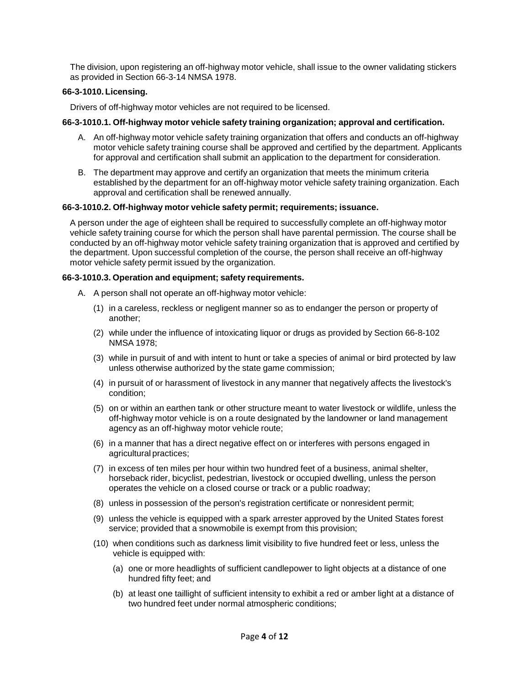The division, upon registering an off-highway motor vehicle, shall issue to the owner validating stickers as provided in Section [66-3-14](http://public.nmcompcomm.us/NMPublic/gateway.dll?f=jumplink%24jumplink_x%3DAdvanced%24jumplink_vpc%3Dfirst%24jumplink_xsl%3Dquerylink.xsl%24jumplink_sel%3Dtitle%3Bpath%3Bcontent-type%3Bhome-title%3Bitem-bookmark%24jumplink_d%3D%7bnmsu%7d%24jumplink_q%3D%5bfield%20folio-destination-name%3A%2766-3-14%27%5d%24jumplink_md%3Dtarget-id%3D0-0-0-106065) NMSA 1978.

## **66-3-1010. Licensing.**

Drivers of off-highway motor vehicles are not required to be licensed.

## **66-3-1010.1. Off-highway motor vehicle safety training organization; approval and certification.**

- A. An off-highway motor vehicle safety training organization that offers and conducts an off-highway motor vehicle safety training course shall be approved and certified by the department. Applicants for approval and certification shall submit an application to the department for consideration.
- B. The department may approve and certify an organization that meets the minimum criteria established by the department for an off-highway motor vehicle safety training organization. Each approval and certification shall be renewed annually.

## **66-3-1010.2. Off-highway motor vehicle safety permit; requirements; issuance.**

A person under the age of eighteen shall be required to successfully complete an off-highway motor vehicle safety training course for which the person shall have parental permission. The course shall be conducted by an off-highway motor vehicle safety training organization that is approved and certified by the department. Upon successful completion of the course, the person shall receive an off-highway motor vehicle safety permit issued by the organization.

## **66-3-1010.3. Operation and equipment; safety requirements.**

- A. A person shall not operate an off-highway motor vehicle:
	- (1) in a careless, reckless or negligent manner so as to endanger the person or property of another;
	- (2) while under the influence of intoxicating liquor or drugs as provided by Section [66-8-102](http://public.nmcompcomm.us/NMPublic/gateway.dll?f=jumplink%24jumplink_x%3DAdvanced%24jumplink_vpc%3Dfirst%24jumplink_xsl%3Dquerylink.xsl%24jumplink_sel%3Dtitle%3Bpath%3Bcontent-type%3Bhome-title%3Bitem-bookmark%24jumplink_d%3D%7bnmsu%7d%24jumplink_q%3D%5bfield%20folio-destination-name%3A%2766-8-102%27%5d%24jumplink_md%3Dtarget-id%3D0-0-0-51739) NMSA 1978;
	- (3) while in pursuit of and with intent to hunt or take a species of animal or bird protected by law unless otherwise authorized by the state game commission;
	- (4) in pursuit of or harassment of livestock in any manner that negatively affects the livestock's condition;
	- (5) on or within an earthen tank or other structure meant to water livestock or wildlife, unless the off-highway motor vehicle is on a route designated by the landowner or land management agency as an off-highway motor vehicle route;
	- (6) in a manner that has a direct negative effect on or interferes with persons engaged in agricultural practices;
	- (7) in excess of ten miles per hour within two hundred feet of a business, animal shelter, horseback rider, bicyclist, pedestrian, livestock or occupied dwelling, unless the person operates the vehicle on a closed course or track or a public roadway;
	- (8) unless in possession of the person's registration certificate or nonresident permit;
	- (9) unless the vehicle is equipped with a spark arrester approved by the United States forest service; provided that a snowmobile is exempt from this provision;
	- (10) when conditions such as darkness limit visibility to five hundred feet or less, unless the vehicle is equipped with:
		- (a) one or more headlights of sufficient candlepower to light objects at a distance of one hundred fifty feet; and
		- (b) at least one taillight of sufficient intensity to exhibit a red or amber light at a distance of two hundred feet under normal atmospheric conditions;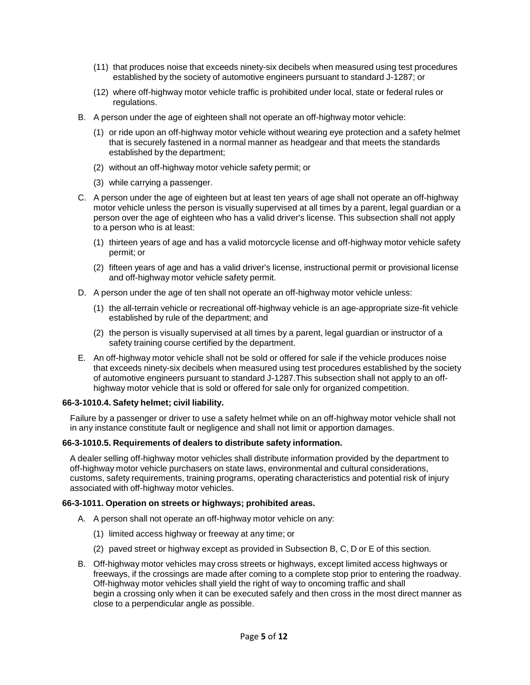- (11) that produces noise that exceeds ninety-six decibels when measured using test procedures established by the society of automotive engineers pursuant to standard J-1287; or
- (12) where off-highway motor vehicle traffic is prohibited under local, state or federal rules or regulations.
- B. A person under the age of eighteen shall not operate an off-highway motor vehicle:
	- (1) or ride upon an off-highway motor vehicle without wearing eye protection and a safety helmet that is securely fastened in a normal manner as headgear and that meets the standards established by the department;
	- (2) without an off-highway motor vehicle safety permit; or
	- (3) while carrying a passenger.
- C. A person under the age of eighteen but at least ten years of age shall not operate an off-highway motor vehicle unless the person is visually supervised at all times by a parent, legal guardian or a person over the age of eighteen who has a valid driver's license. This subsection shall not apply to a person who is at least:
	- (1) thirteen years of age and has a valid motorcycle license and off-highway motor vehicle safety permit; or
	- (2) fifteen years of age and has a valid driver's license, instructional permit or provisional license and off-highway motor vehicle safety permit.
- D. A person under the age of ten shall not operate an off-highway motor vehicle unless:
	- (1) the all-terrain vehicle or recreational off-highway vehicle is an age-appropriate size-fit vehicle established by rule of the department; and
	- (2) the person is visually supervised at all times by a parent, legal guardian or instructor of a safety training course certified by the department.
- E. An off-highway motor vehicle shall not be sold or offered for sale if the vehicle produces noise that exceeds ninety-six decibels when measured using test procedures established by the society of automotive engineers pursuant to standard J-1287.This subsection shall not apply to an offhighway motor vehicle that is sold or offered for sale only for organized competition.

#### **66-3-1010.4. Safety helmet; civil liability.**

Failure by a passenger or driver to use a safety helmet while on an off-highway motor vehicle shall not in any instance constitute fault or negligence and shall not limit or apportion damages.

#### **66-3-1010.5. Requirements of dealers to distribute safety information.**

A dealer selling off-highway motor vehicles shall distribute information provided by the department to off-highway motor vehicle purchasers on state laws, environmental and cultural considerations, customs, safety requirements, training programs, operating characteristics and potential risk of injury associated with off-highway motor vehicles.

#### **66-3-1011. Operation on streets or highways; prohibited areas.**

- A. A person shall not operate an off-highway motor vehicle on any:
	- (1) limited access highway or freeway at any time; or
	- (2) paved street or highway except as provided in Subsection B, C, D or E of this section.
- B. Off-highway motor vehicles may cross streets or highways, except limited access highways or freeways, if the crossings are made after coming to a complete stop prior to entering the roadway. Off-highway motor vehicles shall yield the right of way to oncoming traffic and shall begin a crossing only when it can be executed safely and then cross in the most direct manner as close to a perpendicular angle as possible.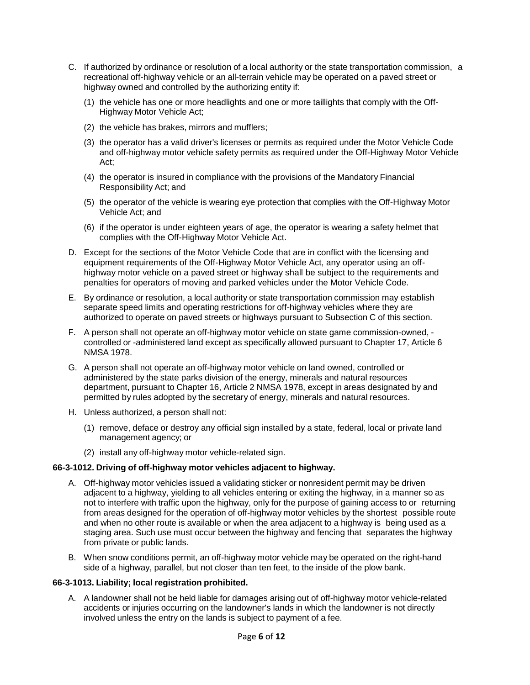- C. If authorized by ordinance or resolution of a local authority or the state transportation commission, a recreational off-highway vehicle or an all-terrain vehicle may be operated on a paved street or highway owned and controlled by the authorizing entity if:
	- (1) the vehicle has one or more headlights and one or more taillights that comply with the Off-Highway Motor Vehicle Act;
	- (2) the vehicle has brakes, mirrors and mufflers;
	- (3) the operator has a valid driver's licenses or permits as required under the Motor Vehicle Code and off-highway motor vehicle safety permits as required under the Off-Highway Motor Vehicle Act;
	- (4) the operator is insured in compliance with the provisions of the Mandatory Financial Responsibility Act; and
	- (5) the operator of the vehicle is wearing eye protection that complies with the Off-Highway Motor Vehicle Act; and
	- (6) if the operator is under eighteen years of age, the operator is wearing a safety helmet that complies with the Off-Highway Motor Vehicle Act.
- D. Except for the sections of the Motor Vehicle Code that are in conflict with the licensing and equipment requirements of the Off-Highway Motor Vehicle Act, any operator using an offhighway motor vehicle on a paved street or highway shall be subject to the requirements and penalties for operators of moving and parked vehicles under the Motor Vehicle Code.
- E. By ordinance or resolution, a local authority or state transportation commission may establish separate speed limits and operating restrictions for off-highway vehicles where they are authorized to operate on paved streets or highways pursuant to Subsection C of this section.
- F. A person shall not operate an off-highway motor vehicle on state game commission-owned, controlled or -administered land except as specifically allowed pursuant to Chapter 17, Article 6 NMSA 1978.
- G. A person shall not operate an off-highway motor vehicle on land owned, controlled or administered by the state parks division of the energy, minerals and natural resources department, pursuant to Chapter 16, Article 2 NMSA 1978, except in areas designated by and permitted by rules adopted by the secretary of energy, minerals and natural resources.
- H. Unless authorized, a person shall not:
	- (1) remove, deface or destroy any official sign installed by a state, federal, local or private land management agency; or
	- (2) install any off-highway motor vehicle-related sign.

## **66-3-1012. Driving of off-highway motor vehicles adjacent to highway.**

- A. Off-highway motor vehicles issued a validating sticker or nonresident permit may be driven adjacent to a highway, yielding to all vehicles entering or exiting the highway, in a manner so as not to interfere with traffic upon the highway, only for the purpose of gaining access to or returning from areas designed for the operation of off-highway motor vehicles by the shortest possible route and when no other route is available or when the area adjacent to a highway is being used as a staging area. Such use must occur between the highway and fencing that separates the highway from private or public lands.
- B. When snow conditions permit, an off-highway motor vehicle may be operated on the right-hand side of a highway, parallel, but not closer than ten feet, to the inside of the plow bank.

## **66-3-1013. Liability; local registration prohibited.**

A. A landowner shall not be held liable for damages arising out of off-highway motor vehicle-related accidents or injuries occurring on the landowner's lands in which the landowner is not directly involved unless the entry on the lands is subject to payment of a fee.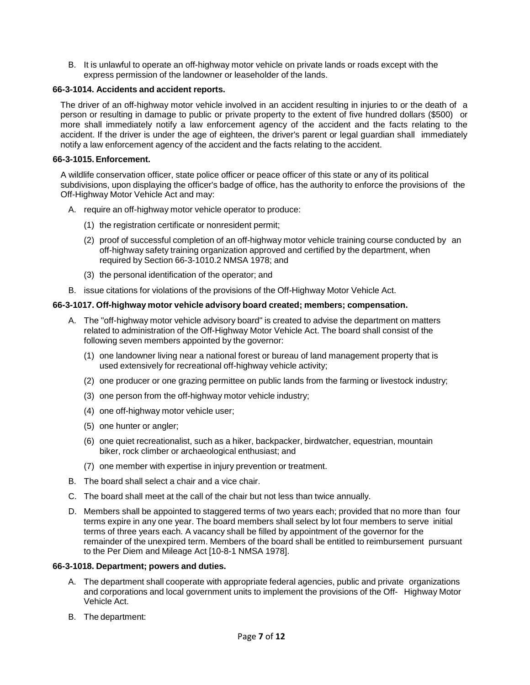B. It is unlawful to operate an off-highway motor vehicle on private lands or roads except with the express permission of the landowner or leaseholder of the lands.

## **66-3-1014. Accidents and accident reports.**

The driver of an off-highway motor vehicle involved in an accident resulting in injuries to or the death of a person or resulting in damage to public or private property to the extent of five hundred dollars (\$500) or more shall immediately notify a law enforcement agency of the accident and the facts relating to the accident. If the driver is under the age of eighteen, the driver's parent or legal guardian shall immediately notify a law enforcement agency of the accident and the facts relating to the accident.

## **66-3-1015. Enforcement.**

A wildlife conservation officer, state police officer or peace officer of this state or any of its political subdivisions, upon displaying the officer's badge of office, has the authority to enforce the provisions of the Off-Highway Motor Vehicle Act and may:

- A. require an off-highway motor vehicle operator to produce:
	- (1) the registration certificate or nonresident permit;
	- (2) proof of successful completion of an off-highway motor vehicle training course conducted by an off-highway safety training organization approved and certified by the department, when required by Section [66-3-1010.2](http://public.nmcompcomm.us/NMPublic/gateway.dll?f=jumplink%24jumplink_x%3DAdvanced%24jumplink_vpc%3Dfirst%24jumplink_xsl%3Dquerylink.xsl%24jumplink_sel%3Dtitle%3Bpath%3Bcontent-type%3Bhome-title%3Bitem-bookmark%24jumplink_d%3D%7bnmsu%7d%24jumplink_q%3D%5bfield%20folio-destination-name%3A%2766-3-1010.2%27%5d%24jumplink_md%3Dtarget-id%3D0-0-0-106487) NMSA 1978; and
	- (3) the personal identification of the operator; and
- B. issue citations for violations of the provisions of the Off-Highway Motor Vehicle Act.

## **66-3-1017. Off-highway motor vehicle advisory board created; members; compensation.**

- A. The "off-highway motor vehicle advisory board" is created to advise the department on matters related to administration of the Off-Highway Motor Vehicle Act. The board shall consist of the following seven members appointed by the governor:
	- (1) one landowner living near a national forest or bureau of land management property that is used extensively for recreational off-highway vehicle activity;
	- (2) one producer or one grazing permittee on public lands from the farming or livestock industry;
	- (3) one person from the off-highway motor vehicle industry;
	- (4) one off-highway motor vehicle user;
	- (5) one hunter or angler;
	- (6) one quiet recreationalist, such as a hiker, backpacker, birdwatcher, equestrian, mountain biker, rock climber or archaeological enthusiast; and
	- (7) one member with expertise in injury prevention or treatment.
- B. The board shall select a chair and a vice chair.
- C. The board shall meet at the call of the chair but not less than twice annually.
- D. Members shall be appointed to staggered terms of two years each; provided that no more than four terms expire in any one year. The board members shall select by lot four members to serve initial terms of three years each. A vacancy shall be filled by appointment of the governor for the remainder of the unexpired term. Members of the board shall be entitled to reimbursement pursuant to the Per Diem and Mileage Act [\[10-8-1](http://public.nmcompcomm.us/NMPublic/gateway.dll?f=jumplink%24jumplink_x%3DAdvanced%24jumplink_vpc%3Dfirst%24jumplink_xsl%3Dquerylink.xsl%24jumplink_sel%3Dtitle%3Bpath%3Bcontent-type%3Bhome-title%3Bitem-bookmark%24jumplink_d%3D%7bnmsu%7d%24jumplink_q%3D%5bfield%20folio-destination-name%3A%2710-8-1%27%5d%24jumplink_md%3Dtarget-id%3D0-0-0-2217) NMSA 1978].

#### **66-3-1018. Department; powers and duties.**

- A. The department shall cooperate with appropriate federal agencies, public and private organizations and corporations and local government units to implement the provisions of the Off- Highway Motor Vehicle Act.
- B. The department: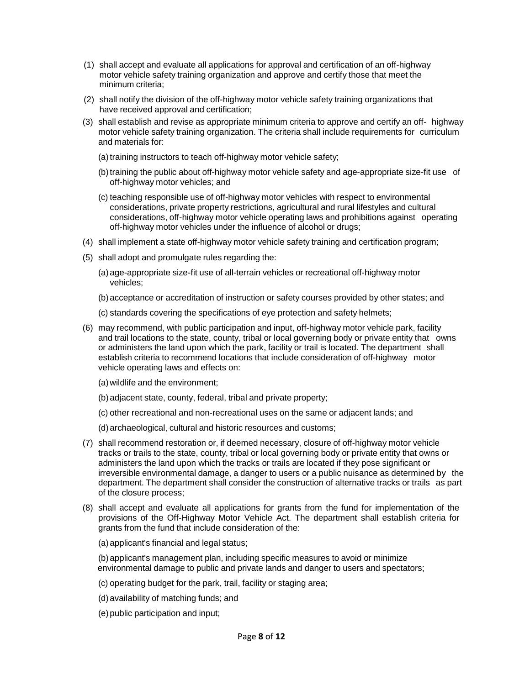- (1) shall accept and evaluate all applications for approval and certification of an off-highway motor vehicle safety training organization and approve and certify those that meet the minimum criteria;
- (2) shall notify the division of the off-highway motor vehicle safety training organizations that have received approval and certification;
- (3) shall establish and revise as appropriate minimum criteria to approve and certify an off- highway motor vehicle safety training organization. The criteria shall include requirements for curriculum and materials for:
	- (a) training instructors to teach off-highway motor vehicle safety;
	- (b) training the public about off-highway motor vehicle safety and age-appropriate size-fit use of off-highway motor vehicles; and
	- (c) teaching responsible use of off-highway motor vehicles with respect to environmental considerations, private property restrictions, agricultural and rural lifestyles and cultural considerations, off-highway motor vehicle operating laws and prohibitions against operating off-highway motor vehicles under the influence of alcohol or drugs;
- (4) shall implement a state off-highway motor vehicle safety training and certification program;
- (5) shall adopt and promulgate rules regarding the:
	- (a) age-appropriate size-fit use of all-terrain vehicles or recreational off-highway motor vehicles;
	- (b) acceptance or accreditation of instruction or safety courses provided by other states; and
	- (c) standards covering the specifications of eye protection and safety helmets;
- (6) may recommend, with public participation and input, off-highway motor vehicle park, facility and trail locations to the state, county, tribal or local governing body or private entity that owns or administers the land upon which the park, facility or trail is located. The department shall establish criteria to recommend locations that include consideration of off-highway motor vehicle operating laws and effects on:
	- (a) wildlife and the environment;
	- (b) adjacent state, county, federal, tribal and private property;
	- (c) other recreational and non-recreational uses on the same or adjacent lands; and
	- (d) archaeological, cultural and historic resources and customs;
- (7) shall recommend restoration or, if deemed necessary, closure of off-highway motor vehicle tracks or trails to the state, county, tribal or local governing body or private entity that owns or administers the land upon which the tracks or trails are located if they pose significant or irreversible environmental damage, a danger to users or a public nuisance as determined by the department. The department shall consider the construction of alternative tracks or trails as part of the closure process;
- (8) shall accept and evaluate all applications for grants from the fund for implementation of the provisions of the Off-Highway Motor Vehicle Act. The department shall establish criteria for grants from the fund that include consideration of the:
	- (a) applicant's financial and legal status;

(b) applicant's management plan, including specific measures to avoid or minimize environmental damage to public and private lands and danger to users and spectators;

- (c) operating budget for the park, trail, facility or staging area;
- (d) availability of matching funds; and
- (e) public participation and input;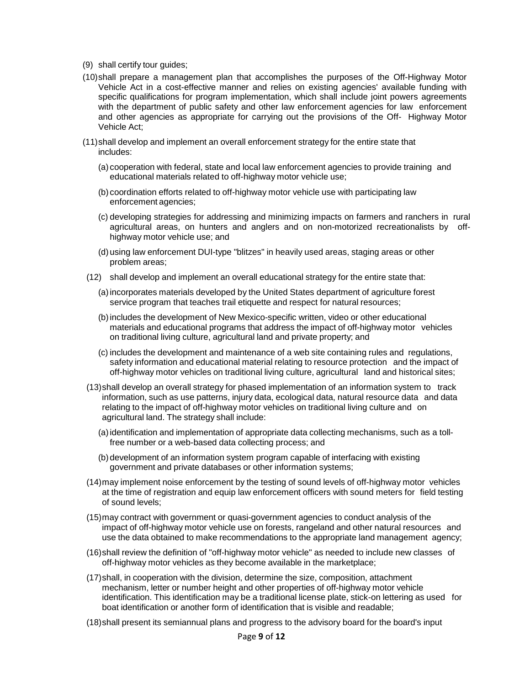- (9) shall certify tour guides;
- (10)shall prepare a management plan that accomplishes the purposes of the Off-Highway Motor Vehicle Act in a cost-effective manner and relies on existing agencies' available funding with specific qualifications for program implementation, which shall include joint powers agreements with the department of public safety and other law enforcement agencies for law enforcement and other agencies as appropriate for carrying out the provisions of the Off- Highway Motor Vehicle Act;
- (11)shall develop and implement an overall enforcement strategy for the entire state that includes:
	- (a) cooperation with federal, state and local law enforcement agencies to provide training and educational materials related to off-highway motor vehicle use;
	- (b) coordination efforts related to off-highway motor vehicle use with participating law enforcement agencies;
	- (c) developing strategies for addressing and minimizing impacts on farmers and ranchers in rural agricultural areas, on hunters and anglers and on non-motorized recreationalists by offhighway motor vehicle use; and
	- (d) using law enforcement DUI-type "blitzes" in heavily used areas, staging areas or other problem areas;
- (12) shall develop and implement an overall educational strategy for the entire state that:
	- (a)incorporates materials developed by the United States department of agriculture forest service program that teaches trail etiquette and respect for natural resources;
	- (b)includes the development of New Mexico-specific written, video or other educational materials and educational programs that address the impact of off-highway motor vehicles on traditional living culture, agricultural land and private property; and
	- (c) includes the development and maintenance of a web site containing rules and regulations, safety information and educational material relating to resource protection and the impact of off-highway motor vehicles on traditional living culture, agricultural land and historical sites;
- (13)shall develop an overall strategy for phased implementation of an information system to track information, such as use patterns, injury data, ecological data, natural resource data and data relating to the impact of off-highway motor vehicles on traditional living culture and on agricultural land. The strategy shall include:
	- (a)identification and implementation of appropriate data collecting mechanisms, such as a tollfree number or a web-based data collecting process; and
	- (b) development of an information system program capable of interfacing with existing government and private databases or other information systems;
- (14)may implement noise enforcement by the testing of sound levels of off-highway motor vehicles at the time of registration and equip law enforcement officers with sound meters for field testing of sound levels;
- (15)may contract with government or quasi-government agencies to conduct analysis of the impact of off-highway motor vehicle use on forests, rangeland and other natural resources and use the data obtained to make recommendations to the appropriate land management agency;
- (16)shall review the definition of "off-highway motor vehicle" as needed to include new classes of off-highway motor vehicles as they become available in the marketplace;
- (17)shall, in cooperation with the division, determine the size, composition, attachment mechanism, letter or number height and other properties of off-highway motor vehicle identification. This identification may be a traditional license plate, stick-on lettering as used for boat identification or another form of identification that is visible and readable;
- (18)shall present its semiannual plans and progress to the advisory board for the board's input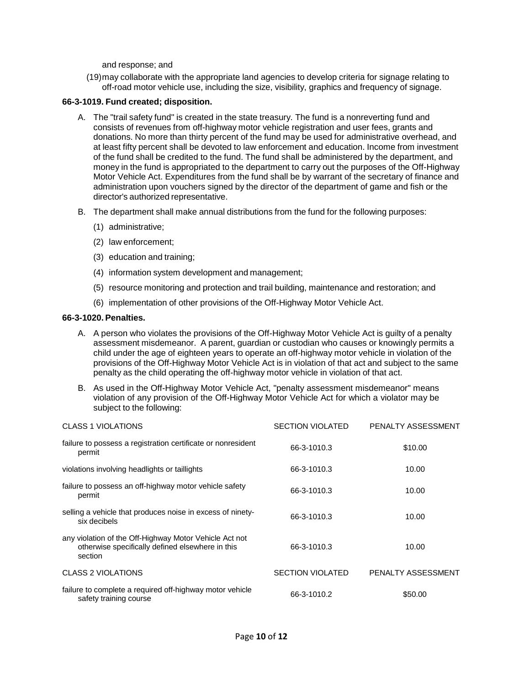and response; and

(19)may collaborate with the appropriate land agencies to develop criteria for signage relating to off-road motor vehicle use, including the size, visibility, graphics and frequency of signage.

### **66-3-1019. Fund created; disposition.**

- A. The "trail safety fund" is created in the state treasury. The fund is a nonreverting fund and consists of revenues from off-highway motor vehicle registration and user fees, grants and donations. No more than thirty percent of the fund may be used for administrative overhead, and at least fifty percent shall be devoted to law enforcement and education. Income from investment of the fund shall be credited to the fund. The fund shall be administered by the department, and money in the fund is appropriated to the department to carry out the purposes of the Off-Highway Motor Vehicle Act. Expenditures from the fund shall be by warrant of the secretary of finance and administration upon vouchers signed by the director of the department of game and fish or the director's authorized representative.
- B. The department shall make annual distributions from the fund for the following purposes:
	- (1) administrative;
	- (2) law enforcement;
	- (3) education and training;
	- (4) information system development and management;
	- (5) resource monitoring and protection and trail building, maintenance and restoration; and
	- (6) implementation of other provisions of the Off-Highway Motor Vehicle Act.

#### **66-3-1020. Penalties.**

- A. A person who violates the provisions of the Off-Highway Motor Vehicle Act is guilty of a penalty assessment misdemeanor. A parent, guardian or custodian who causes or knowingly permits a child under the age of eighteen years to operate an off-highway motor vehicle in violation of the provisions of the Off-Highway Motor Vehicle Act is in violation of that act and subject to the same penalty as the child operating the off-highway motor vehicle in violation of that act.
- B. As used in the Off-Highway Motor Vehicle Act, "penalty assessment misdemeanor" means violation of any provision of the Off-Highway Motor Vehicle Act for which a violator may be subject to the following:

| <b>CLASS 1 VIOLATIONS</b>                                                                                             | <b>SECTION VIOLATED</b> | PENALTY ASSESSMENT |
|-----------------------------------------------------------------------------------------------------------------------|-------------------------|--------------------|
| failure to possess a registration certificate or nonresident<br>permit                                                | 66-3-1010.3             | \$10.00            |
| violations involving headlights or taillights                                                                         | 66-3-1010.3             | 10.00              |
| failure to possess an off-highway motor vehicle safety<br>permit                                                      | 66-3-1010.3             | 10.00              |
| selling a vehicle that produces noise in excess of ninety-<br>six decibels                                            | 66-3-1010.3             | 10.00              |
| any violation of the Off-Highway Motor Vehicle Act not<br>otherwise specifically defined elsewhere in this<br>section | 66-3-1010.3             | 10.00              |
| <b>CLASS 2 VIOLATIONS</b>                                                                                             | <b>SECTION VIOLATED</b> | PENALTY ASSESSMENT |
| failure to complete a required off-highway motor vehicle<br>safety training course                                    | 66-3-1010.2             | \$50.00            |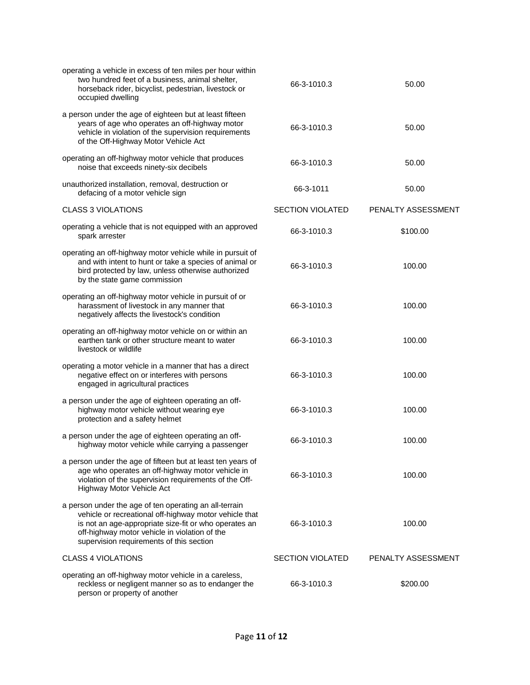| operating a vehicle in excess of ten miles per hour within<br>two hundred feet of a business, animal shelter,<br>horseback rider, bicyclist, pedestrian, livestock or<br>occupied dwelling                                                                             | 66-3-1010.3             | 50.00              |
|------------------------------------------------------------------------------------------------------------------------------------------------------------------------------------------------------------------------------------------------------------------------|-------------------------|--------------------|
| a person under the age of eighteen but at least fifteen<br>years of age who operates an off-highway motor<br>vehicle in violation of the supervision requirements<br>of the Off-Highway Motor Vehicle Act                                                              | 66-3-1010.3             | 50.00              |
| operating an off-highway motor vehicle that produces<br>noise that exceeds ninety-six decibels                                                                                                                                                                         | 66-3-1010.3             | 50.00              |
| unauthorized installation, removal, destruction or<br>defacing of a motor vehicle sign                                                                                                                                                                                 | 66-3-1011               | 50.00              |
| <b>CLASS 3 VIOLATIONS</b>                                                                                                                                                                                                                                              | <b>SECTION VIOLATED</b> | PENALTY ASSESSMENT |
| operating a vehicle that is not equipped with an approved<br>spark arrester                                                                                                                                                                                            | 66-3-1010.3             | \$100.00           |
| operating an off-highway motor vehicle while in pursuit of<br>and with intent to hunt or take a species of animal or<br>bird protected by law, unless otherwise authorized<br>by the state game commission                                                             | 66-3-1010.3             | 100.00             |
| operating an off-highway motor vehicle in pursuit of or<br>harassment of livestock in any manner that<br>negatively affects the livestock's condition                                                                                                                  | 66-3-1010.3             | 100.00             |
| operating an off-highway motor vehicle on or within an<br>earthen tank or other structure meant to water<br>livestock or wildlife                                                                                                                                      | 66-3-1010.3             | 100.00             |
| operating a motor vehicle in a manner that has a direct<br>negative effect on or interferes with persons<br>engaged in agricultural practices                                                                                                                          | 66-3-1010.3             | 100.00             |
| a person under the age of eighteen operating an off-<br>highway motor vehicle without wearing eye<br>protection and a safety helmet                                                                                                                                    | 66-3-1010.3             | 100.00             |
| a person under the age of eighteen operating an off-<br>highway motor vehicle while carrying a passenger                                                                                                                                                               | 66-3-1010.3             | 100.00             |
| a person under the age of fifteen but at least ten years of<br>age who operates an off-highway motor vehicle in<br>violation of the supervision requirements of the Off-<br>Highway Motor Vehicle Act                                                                  | 66-3-1010.3             | 100.00             |
| a person under the age of ten operating an all-terrain<br>vehicle or recreational off-highway motor vehicle that<br>is not an age-appropriate size-fit or who operates an<br>off-highway motor vehicle in violation of the<br>supervision requirements of this section | 66-3-1010.3             | 100.00             |
| <b>CLASS 4 VIOLATIONS</b>                                                                                                                                                                                                                                              | <b>SECTION VIOLATED</b> | PENALTY ASSESSMENT |
| operating an off-highway motor vehicle in a careless,<br>reckless or negligent manner so as to endanger the<br>person or property of another                                                                                                                           | 66-3-1010.3             | \$200.00           |